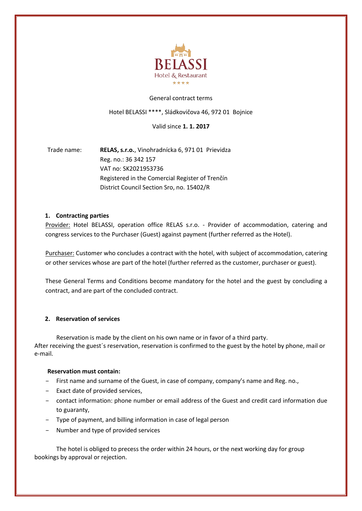

#### General contract terms

Hotel BELASSI \*\*\*\*, Sládkovičova 46, 972 01 Bojnice

Valid since **1. 1. 2017** 

Trade name: **RELAS, s.r.o.**, Vinohradnícka 6, 971 01 Prievidza Reg. no.: 36 342 157 VAT no: SK2021953736 Registered in the Comercial Register of Trenčín District Council Section Sro, no. 15402/R

### **1. Contracting parties**

Provider: Hotel BELASSI, operation office RELAS s.r.o. - Provider of accommodation, catering and congress services to the Purchaser (Guest) against payment (further referred as the Hotel).

Purchaser: Customer who concludes a contract with the hotel, with subject of accommodation, catering or other services whose are part of the hotel (further referred as the customer, purchaser or guest).

These General Terms and Conditions become mandatory for the hotel and the guest by concluding a contract, and are part of the concluded contract.

# **2. Reservation of services**

Reservation is made by the client on his own name or in favor of a third party. After receiving the guest´s reservation, reservation is confirmed to the guest by the hotel by phone, mail or e-mail.

### **Reservation must contain:**

- First name and surname of the Guest, in case of company, company's name and Reg. no.,
- Exact date of provided services,
- contact information: phone number or email address of the Guest and credit card information due to guaranty,
- Type of payment, and billing information in case of legal person
- Number and type of provided services

The hotel is obliged to precess the order within 24 hours, or the next working day for group bookings by approval or rejection.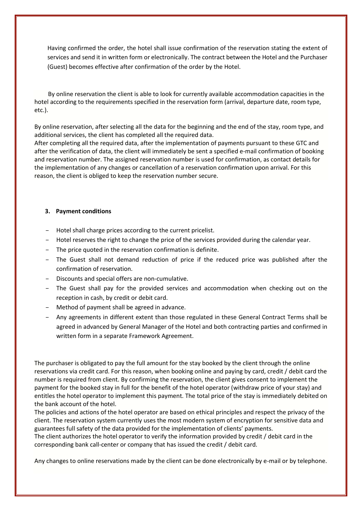Having confirmed the order, the hotel shall issue confirmation of the reservation stating the extent of services and send it in written form or electronically. The contract between the Hotel and the Purchaser (Guest) becomes effective after confirmation of the order by the Hotel.

 By online reservation the client is able to look for currently available accommodation capacities in the hotel according to the requirements specified in the reservation form (arrival, departure date, room type, etc.).

By online reservation, after selecting all the data for the beginning and the end of the stay, room type, and additional services, the client has completed all the required data.

After completing all the required data, after the implementation of payments pursuant to these GTC and after the verification of data, the client will immediately be sent a specified e-mail confirmation of booking and reservation number. The assigned reservation number is used for confirmation, as contact details for the implementation of any changes or cancellation of a reservation confirmation upon arrival. For this reason, the client is obliged to keep the reservation number secure.

#### **3. Payment conditions**

- Hotel shall charge prices according to the current pricelist.
- Hotel reserves the right to change the price of the services provided during the calendar year.
- The price quoted in the reservation confirmation is definite.
- The Guest shall not demand reduction of price if the reduced price was published after the confirmation of reservation.
- Discounts and special offers are non-cumulative.
- The Guest shall pay for the provided services and accommodation when checking out on the reception in cash, by credit or debit card.
- Method of payment shall be agreed in advance.
- Any agreements in different extent than those regulated in these General Contract Terms shall be agreed in advanced by General Manager of the Hotel and both contracting parties and confirmed in written form in a separate Framework Agreement.

The purchaser is obligated to pay the full amount for the stay booked by the client through the online reservations via credit card. For this reason, when booking online and paying by card, credit / debit card the number is required from client. By confirming the reservation, the client gives consent to implement the payment for the booked stay in full for the benefit of the hotel operator (withdraw price of your stay) and entitles the hotel operator to implement this payment. The total price of the stay is immediately debited on the bank account of the hotel.

The policies and actions of the hotel operator are based on ethical principles and respect the privacy of the client. The reservation system currently uses the most modern system of encryption for sensitive data and guarantees full safety of the data provided for the implementation of clients' payments.

The client authorizes the hotel operator to verify the information provided by credit / debit card in the corresponding bank call-center or company that has issued the credit / debit card.

Any changes to online reservations made by the client can be done electronically by e-mail or by telephone.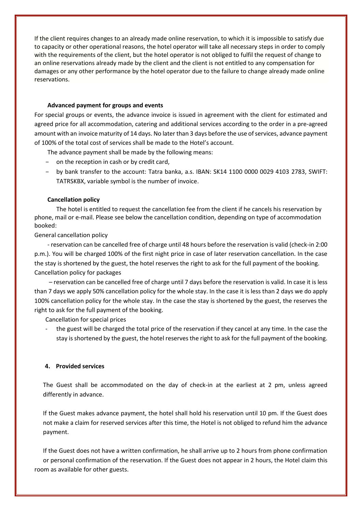If the client requires changes to an already made online reservation, to which it is impossible to satisfy due to capacity or other operational reasons, the hotel operator will take all necessary steps in order to comply with the requirements of the client, but the hotel operator is not obliged to fulfil the request of change to an online reservations already made by the client and the client is not entitled to any compensation for damages or any other performance by the hotel operator due to the failure to change already made online reservations.

#### **Advanced payment for groups and events**

For special groups or events, the advance invoice is issued in agreement with the client for estimated and agreed price for all accommodation, catering and additional services according to the order in a pre-agreed amount with an invoice maturity of 14 days. No later than 3 days before the use of services, advance payment of 100% of the total cost of services shall be made to the Hotel's account.

The advance payment shall be made by the following means:

- on the reception in cash or by credit card,
- by bank transfer to the account: Tatra banka, a.s. IBAN: SK14 1100 0000 0029 4103 2783, SWIFT: TATRSKBX, variable symbol is the number of invoice.

### **Cancellation policy**

The hotel is entitled to request the cancellation fee from the client if he cancels his reservation by phone, mail or e-mail. Please see below the cancellation condition, depending on type of accommodation booked:

#### General cancellation policy

 - reservation can be cancelled free of charge until 48 hours before the reservation is valid (check-in 2:00 p.m.). You will be charged 100% of the first night price in case of later reservation cancellation. In the case the stay is shortened by the guest, the hotel reserves the right to ask for the full payment of the booking. Cancellation policy for packages

 – reservation can be cancelled free of charge until 7 days before the reservation is valid. In case it is less than 7 days we apply 50% cancellation policy for the whole stay. In the case it is less than 2 days we do apply 100% cancellation policy for the whole stay. In the case the stay is shortened by the guest, the reserves the right to ask for the full payment of the booking.

Cancellation for special prices

the guest will be charged the total price of the reservation if they cancel at any time. In the case the stay is shortened by the guest, the hotel reserves the right to ask for the full payment of the booking.

### **4. Provided services**

 The Guest shall be accommodated on the day of check-in at the earliest at 2 pm, unless agreed differently in advance.

If the Guest makes advance payment, the hotel shall hold his reservation until 10 pm. If the Guest does not make a claim for reserved services after this time, the Hotel is not obliged to refund him the advance payment.

If the Guest does not have a written confirmation, he shall arrive up to 2 hours from phone confirmation or personal confirmation of the reservation. If the Guest does not appear in 2 hours, the Hotel claim this room as available for other guests.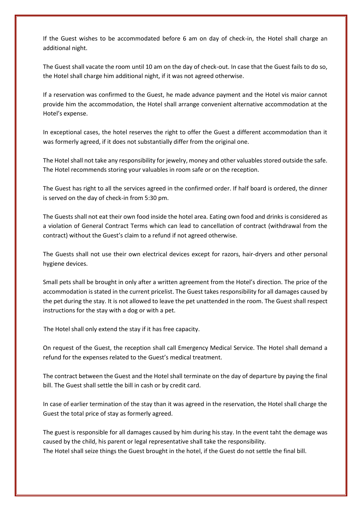If the Guest wishes to be accommodated before 6 am on day of check-in, the Hotel shall charge an additional night.

 The Guest shall vacate the room until 10 am on the day of check-out. In case that the Guest fails to do so, the Hotel shall charge him additional night, if it was not agreed otherwise.

If a reservation was confirmed to the Guest, he made advance payment and the Hotel vis maior cannot provide him the accommodation, the Hotel shall arrange convenient alternative accommodation at the Hotel's expense.

In exceptional cases, the hotel reserves the right to offer the Guest a different accommodation than it was formerly agreed, if it does not substantially differ from the original one.

The Hotel shall not take any responsibility for jewelry, money and other valuables stored outside the safe. The Hotel recommends storing your valuables in room safe or on the reception.

The Guest has right to all the services agreed in the confirmed order. If half board is ordered, the dinner is served on the day of check-in from 5:30 pm.

The Guests shall not eat their own food inside the hotel area. Eating own food and drinks is considered as a violation of General Contract Terms which can lead to cancellation of contract (withdrawal from the contract) without the Guest's claim to a refund if not agreed otherwise.

The Guests shall not use their own electrical devices except for razors, hair-dryers and other personal hygiene devices.

Small pets shall be brought in only after a written agreement from the Hotel's direction. The price of the accommodation is stated in the current pricelist. The Guest takes responsibility for all damages caused by the pet during the stay. It is not allowed to leave the pet unattended in the room. The Guest shall respect instructions for the stay with a dog or with a pet.

The Hotel shall only extend the stay if it has free capacity.

On request of the Guest, the reception shall call Emergency Medical Service. The Hotel shall demand a refund for the expenses related to the Guest's medical treatment.

The contract between the Guest and the Hotel shall terminate on the day of departure by paying the final bill. The Guest shall settle the bill in cash or by credit card.

In case of earlier termination of the stay than it was agreed in the reservation, the Hotel shall charge the Guest the total price of stay as formerly agreed.

The guest is responsible for all damages caused by him during his stay. In the event taht the demage was caused by the child, his parent or legal representative shall take the responsibility. The Hotel shall seize things the Guest brought in the hotel, if the Guest do not settle the final bill.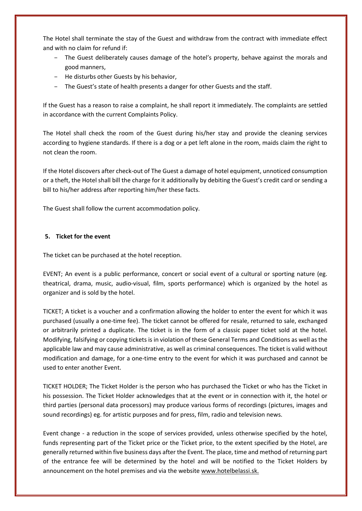The Hotel shall terminate the stay of the Guest and withdraw from the contract with immediate effect and with no claim for refund if:

- The Guest deliberately causes damage of the hotel's property, behave against the morals and good manners,
- He disturbs other Guests by his behavior,
- The Guest's state of health presents a danger for other Guests and the staff.

If the Guest has a reason to raise a complaint, he shall report it immediately. The complaints are settled in accordance with the current Complaints Policy.

The Hotel shall check the room of the Guest during his/her stay and provide the cleaning services according to hygiene standards. If there is a dog or a pet left alone in the room, maids claim the right to not clean the room.

If the Hotel discovers after check-out of The Guest a damage of hotel equipment, unnoticed consumption or a theft, the Hotel shall bill the charge for it additionally by debiting the Guest's credit card or sending a bill to his/her address after reporting him/her these facts.

The Guest shall follow the current accommodation policy.

# **5. Ticket for the event**

The ticket can be purchased at the hotel reception.

EVENT; An event is a public performance, concert or social event of a cultural or sporting nature (eg. theatrical, drama, music, audio-visual, film, sports performance) which is organized by the hotel as organizer and is sold by the hotel.

TICKET; A ticket is a voucher and a confirmation allowing the holder to enter the event for which it was purchased (usually a one-time fee). The ticket cannot be offered for resale, returned to sale, exchanged or arbitrarily printed a duplicate. The ticket is in the form of a classic paper ticket sold at the hotel. Modifying, falsifying or copying tickets is in violation of these General Terms and Conditions as well as the applicable law and may cause administrative, as well as criminal consequences. The ticket is valid without modification and damage, for a one-time entry to the event for which it was purchased and cannot be used to enter another Event.

TICKET HOLDER; The Ticket Holder is the person who has purchased the Ticket or who has the Ticket in his possession. The Ticket Holder acknowledges that at the event or in connection with it, the hotel or third parties (personal data processors) may produce various forms of recordings (pictures, images and sound recordings) eg. for artistic purposes and for press, film, radio and television news.

Event change - a reduction in the scope of services provided, unless otherwise specified by the hotel, funds representing part of the Ticket price or the Ticket price, to the extent specified by the Hotel, are generally returned within five business days after the Event. The place, time and method of returning part of the entrance fee will be determined by the hotel and will be notified to the Ticket Holders by announcement on the hotel premises and via the website www.hotelbelassi.sk.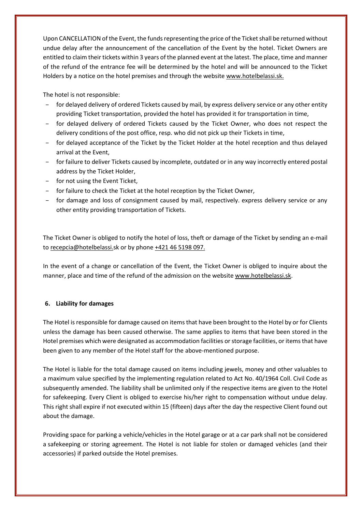Upon CANCELLATION of the Event, the funds representing the price of the Ticket shall be returned without undue delay after the announcement of the cancellation of the Event by the hotel. Ticket Owners are entitled to claim their tickets within 3 years of the planned event at the latest. The place, time and manner of the refund of the entrance fee will be determined by the hotel and will be announced to the Ticket Holders by a notice on the hotel premises and through the website www.hotelbelassi.sk.

The hotel is not responsible:

- for delayed delivery of ordered Tickets caused by mail, by express delivery service or any other entity providing Ticket transportation, provided the hotel has provided it for transportation in time,
- for delayed delivery of ordered Tickets caused by the Ticket Owner, who does not respect the delivery conditions of the post office, resp. who did not pick up their Tickets in time,
- for delayed acceptance of the Ticket by the Ticket Holder at the hotel reception and thus delayed arrival at the Event,
- for failure to deliver Tickets caused by incomplete, outdated or in any way incorrectly entered postal address by the Ticket Holder,
- for not using the Event Ticket,
- for failure to check the Ticket at the hotel reception by the Ticket Owner,
- for damage and loss of consignment caused by mail, respectively. express delivery service or any other entity providing transportation of Tickets.

The Ticket Owner is obliged to notify the hotel of loss, theft or damage of the Ticket by sending an e-mail to recepcia@hotelbelassi.sk or by phone +421 46 5198 097.

In the event of a change or cancellation of the Event, the Ticket Owner is obliged to inquire about the manner, place and time of the refund of the admission on the website www.hotelbelassi.sk.

# **6. Liability for damages**

The Hotel is responsible for damage caused on items that have been brought to the Hotel by or for Clients unless the damage has been caused otherwise. The same applies to items that have been stored in the Hotel premises which were designated as accommodation facilities or storage facilities, or items that have been given to any member of the Hotel staff for the above-mentioned purpose.

 The Hotel is liable for the total damage caused on items including jewels, money and other valuables to a maximum value specified by the implementing regulation related to Act No. 40/1964 Coll. Civil Code as subsequently amended. The liability shall be unlimited only if the respective items are given to the Hotel for safekeeping. Every Client is obliged to exercise his/her right to compensation without undue delay. This right shall expire if not executed within 15 (fifteen) days after the day the respective Client found out about the damage.

 Providing space for parking a vehicle/vehicles in the Hotel garage or at a car park shall not be considered a safekeeping or storing agreement. The Hotel is not liable for stolen or damaged vehicles (and their accessories) if parked outside the Hotel premises.